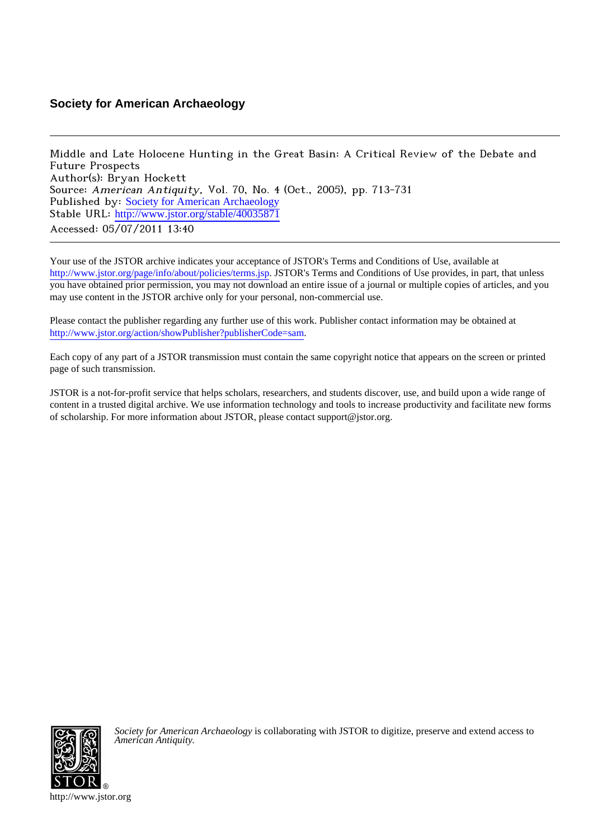# **Society for American Archaeology**

Middle and Late Holocene Hunting in the Great Basin: A Critical Review of the Debate and Future Prospects Author(s): Bryan Hockett Source: American Antiquity, Vol. 70, No. 4 (Oct., 2005), pp. 713-731 Published by: [Society for American Archaeology](http://www.jstor.org/action/showPublisher?publisherCode=sam) Stable URL: http://www.jstor.org/stable/40035871 Accessed: 05/07/2011 13:40

Your use of the JSTOR archive indicates your acceptance of JSTOR's Terms and Conditions of Use, available at <http://www.jstor.org/page/info/about/policies/terms.jsp>. JSTOR's Terms and Conditions of Use provides, in part, that unless you have obtained prior permission, you may not download an entire issue of a journal or multiple copies of articles, and you may use content in the JSTOR archive only for your personal, non-commercial use.

Please contact the publisher regarding any further use of this work. Publisher contact information may be obtained at <http://www.jstor.org/action/showPublisher?publisherCode=sam>. .

Each copy of any part of a JSTOR transmission must contain the same copyright notice that appears on the screen or printed page of such transmission.

JSTOR is a not-for-profit service that helps scholars, researchers, and students discover, use, and build upon a wide range of content in a trusted digital archive. We use information technology and tools to increase productivity and facilitate new forms of scholarship. For more information about JSTOR, please contact support@jstor.org.



*Society for American Archaeology* is collaborating with JSTOR to digitize, preserve and extend access to *American Antiquity.*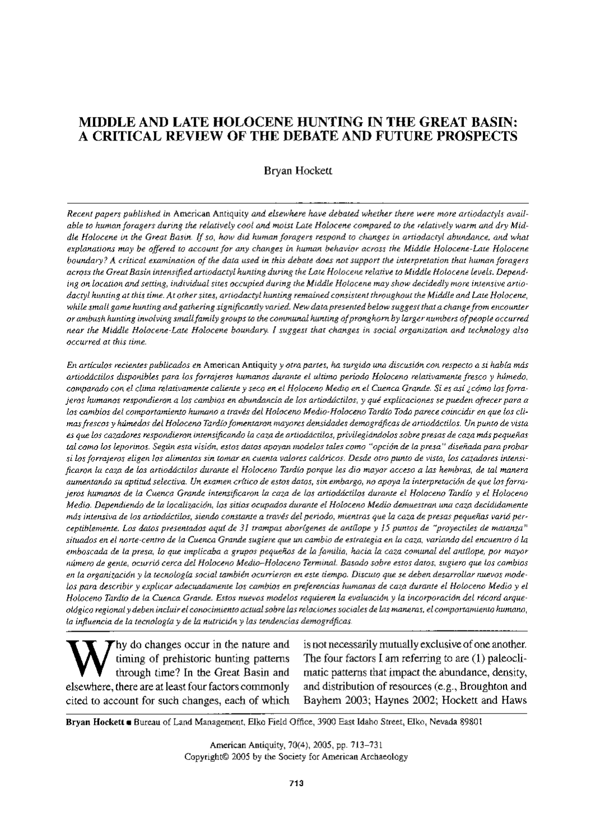# MIDDLE AND LATE HOLOCENE HUNTING IN THE GREAT BASIN: A CRITICAL REVIEW OF THE DEBATE AND FUTURE PROSPECTS

### Bryan Hockett

Recent papers published in American Antiquity and elsewhere have debated whether there were more artiodactyls available to human foragers during the relatively cool and moist Late Holocene compared to the relatively warm and dry Middle Holocene in the Great Basin. If so, how did human foragers respond to changes in artiodactyl abundance, and what explanations may be offered to account for any changes in human behavior across the Middle Holocene-Late Holocene boundary? A critical examination of the data used in this debate does not support the interpretation that human foragers across the Great Basin intensified artiodactyl hunting during the Late Holocene relative to Middle Holocene levels. Depending on location and setting, individual sites occupied during the Middle Holocene may show decidedly more intensive artiodactyl hunting at this time. At other sites, artiodactyl hunting remained consistent throughout the Middle and Late Holocene, while small game hunting and gathering significantly varied. New data presented below suggest that a change from encounter or ambush hunting involving small family groups to the communal hunting of pronghorn by larger numbers of people occurred near the Middle Holocene-Late Holocene boundary. I suggest that changes in social organization and technology also occurred at this time.

En artículos recientes publicados en American Antíquity y otra partes, ha surgido una discusión con respecto a si había más artiodáctilos disponibles para los forrajeros humanos durante el ultimo período Holoceno relativamente fresco y húmedo, comparado con el clima relativamente caliente y seco en el Holoceno Medio en el Cuenca Grande. Si es así ¿cómo los forrajeros humanos respondieron a los cambios en abundancia de los artiodáctilos, y qué explicaciones se pueden ofrecer para a los cambios del comportamiento humano a través del Holoceno Medio-Holoceno Tardío Todo parece coincidir en que los climas frescos y húmedos del Holoceno Tardío fomentaron mayores densidades demográficas de artiodáctilos. Un punto de vista es que los cazadores respondieron intensificando la caza de artiodáctilos, privilegiándolos sobre presas de caza más pequeñas tal como los leporinos. Según esta visión, estos datos apoyan modelos tales como "opción de la presa" diseñada para probar si los forrajeros eligen los alimentos sin tomar en cuenta valores calóricos. Desde otro punto de vista, los cazadores intensificaron la caza de los artiodáctilos durante el Holoceno Tardío porque les dio mayor acceso a las hembras, de tal manera aumentando su aptitud selectiva. Un examen crítico de estos datos, sin embargo, no apoya la interpretación de que los forrajeros humanos de la Cuenca Grande intensificaron la caza de los artiodáctilos durante el Holoceno Tardío y el Holoceno Medio. Dependiendo de la localización, los sitios ocupados durante el Holoceno Medio demuestran una caza decididamente más intensiva de los artiodáctilos, siendo constante a través del periodo, mientras que la caza de presas pequeñas varió perceptiblemente. Los datos presentados aquí de 31 trampas aborígenes de antílope y 15 puntos de "proyectiles de matanza" situados en el norte-centro de la Cuenca Grande sugiere que un cambio de estrategia en la caza, variando del encuentro ó la emboscada de la presa, lo que implicaba a grupos pequeños de la familia, hacia la caza comunal del antílope, por mayor número de gente, ocurrió cerca del Holoceno Medio-Holoceno Terminal. Basado sobre estos datos, sugiero que los cambios en la organización y la tecnología social también ocurrieron en este tiempo. Discuto que se deben desarrollar nuevos modelos para describir y explicar adecuadamente los cambios en preferencias humanas de caza durante el Holoceno Medio y el Holoceno Tardío de la Cuenca Grande. Estos nuevos modelos requieren la evaluación y la incorporación del récord arqueológico regional y deben incluir el conocimiento actual sobre las relaciones sociales de las maneras, el comportamiento humano, la influencia de la tecnología y de la nutrición y las tendencias demográficas.

hy do changes occur in the nature and timing of prehistoric hunting patterns through time? In the Great Basin and elsewhere, there are at least four factors commonly cited to account for such changes, each of which

is not necessarily mutually exclusive of one another. The four factors I am referring to are  $(1)$  paleoclimatic patterns that impact the abundance, density, and distribution of resources (e.g., Broughton and Bayhem 2003; Haynes 2002; Hockett and Haws

Bryan Hockett a Bureau of Land Management, Elko Field Office, 3900 East Idaho Street, Elko, Nevada 89801

American Antiquity, 70(4), 2005, pp. 713-731 Copyright© 2005 by the Society for American Archaeology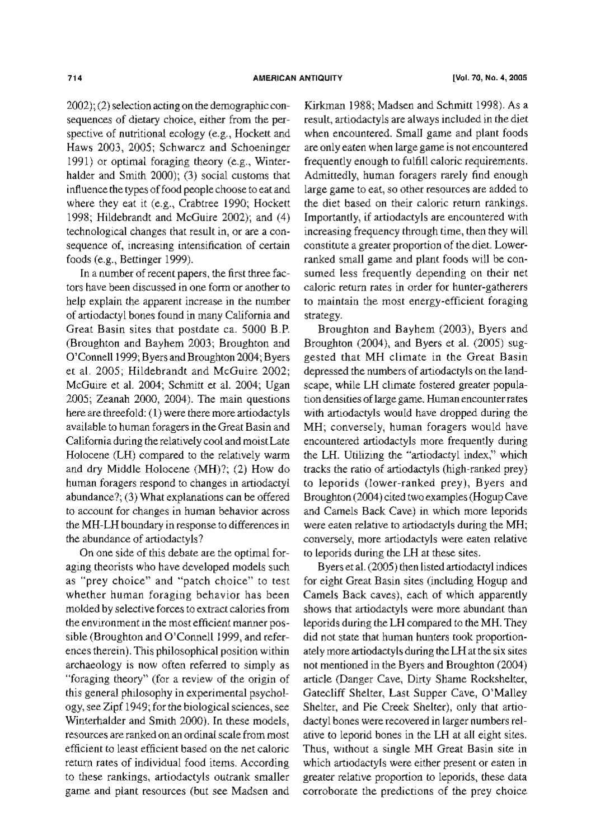2002); (2) selection acting on the demographic consequences of dietary choice, either from the perspective of nutritional ecology (e.g., Hockett and Haws 2003, 2005; Schwarcz and Schoeninger 1991) or optimal foraging theory (e.g., Winterhalder and Smith 2000); (3) social customs that influence the types of food people choose to eat and where they eat it (e.g., Crabtree 1990; Hockett 1998; Hildebrandt and McGuire 2002); and (4) technological changes that result in, or are a consequence of, increasing intensification of certain foods (e.g., Bettinger 1999).

In a number of recent papers, the first three factors have been discussed in one form or another to help explain the apparent increase in the number of artiodactyl bones found in many California and Great Basin sites that postdate ca. 5000 B.P. (Broughton and Bayhem 2003; Broughton and O'Connell 1999; Byers and Broughton 2004; Byers et al. 2005; Hildebrandt and McGuire 2002; McGuire et al. 2004; Schmitt et al. 2004; Ugan 2005; Zeanah 2000, 2004). The main questions here are threefold: (1) were there more artiodactyls available to human foragers in the Great Basin and California during the relatively cool and moist Late Holocene (LH) compared to the relatively warm and dry Middle Holocene (MH)?; (2) How do human foragers respond to changes in artiodactyl abundance?; (3) What explanations can be offered to account for changes in human behavior across the MH-LH boundary in response to differences in the abundance of artiodactyls?

On one side of this debate are the optimal foraging theorists who have developed models such as "prey choice" and "patch choice" to test whether human foraging behavior has been molded by selective forces to extract calories from the environment in the most efficient manner possible (Broughton and O'Connell 1999, and references therein). This philosophical position within archaeology is now often referred to simply as "foraging theory" (for a review of the origin of this general philosophy in experimental psychology, see Zipf 1949; for the biological sciences, see Winterhalder and Smith 2000). In these models, resources are ranked on an ordinal scale from most efficient to least efficient based on the net caloric return rates of individual food items. According to these rankings, artiodactyls outrank smaller game and plant resources (but see Madsen and

Kirkman 1988; Madsen and Schmitt 1998). As a result, artiodactyls are always included in the diet when encountered. Small game and plant foods are only eaten when large game is not encountered frequently enough to fulfill caloric requirements. Admittedly, human foragers rarely find enough large game to eat, so other resources are added to the diet based on their caloric return rankings. Importantly, if artiodactyls are encountered with increasing frequency through time, then they will constitute a greater proportion of the diet. Lowerranked small game and plant foods will be consumed less frequently depending on their net caloric return rates in order for hunter-gatherers to maintain the most energy-efficient foraging strategy.

Broughton and Bayhem (2003), Byers and Broughton (2004), and Byers et al. (2005) suggested that MH climate in the Great Basin depressed the numbers of artiodactyls on the landscape, while LH climate fostered greater population densities of large game. Human encounter rates with artiodactyls would have dropped during the MH; conversely, human foragers would have encountered artiodactyls more frequently during the LH. Utilizing the "artiodactyl index," which tracks the ratio of artiodactyls (high-ranked prey) to leporids (lower-ranked prey), Byers and Broughton (2004) cited two examples (Hogup Cave and Camels Back Cave) in which more leporids were eaten relative to artiodactyls during the MH; conversely, more artiodactyls were eaten relative to leporids during the LH at these sites.

Byers et al. (2005) then listed artiodactyl indices for eight Great Basin sites (including Hogup and Camels Back caves), each of which apparently shows that artiodactyls were more abundant than leporids during the LH compared to the MH. They did not state that human hunters took proportionately more artiodactyls during the LH at the six sites not mentioned in the Byers and Broughton (2004) article (Danger Cave, Dirty Shame Rockshelter, Gatecliff Shelter, Last Supper Cave, O'Malley Shelter, and Pie Creek Shelter), only that artiodactyl bones were recovered in larger numbers relative to leporid bones in the LH at all eight sites. Thus, without a single MH Great Basin site in which artiodactyls were either present or eaten in greater relative proportion to leporids, these data corroborate the predictions of the prey choice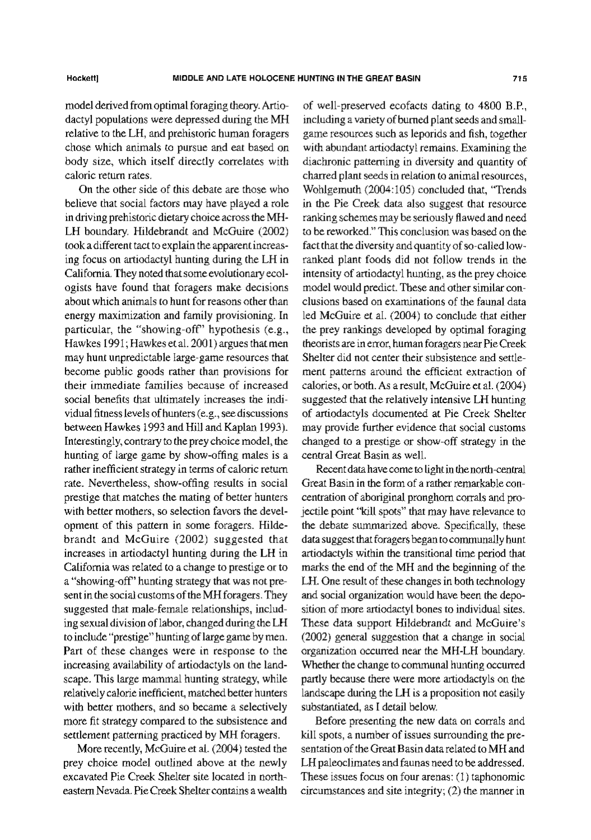model derived from optimal foraging theory. Artiodactyl populations were depressed during the MH relative to the LH, and prehistoric human foragers chose which animals to pursue and eat based on body size, which itself directly correlates with caloric return rates.

On the other side of this debate are those who believe that social factors may have played a role in driving prehistoric dietary choice across the MH-LH boundary. Hildebrandt and McGuire (2002) took a different tact to explain the apparent increasing focus on artiodactyl hunting during the LH in California. They noted that some evolutionary ecologists have found that foragers make decisions about which animals to hunt for reasons other than energy maximization and family provisioning. In particular, the "showing-off" hypothesis (e.g., Hawkes 1991; Hawkes et al. 2001) argues that men may hunt unpredictable large-game resources that become public goods rather than provisions for their immediate families because of increased social benefits that ultimately increases the individual fitness levels of hunters (e.g., see discussions between Hawkes 1993 and Hill and Kaplan 1993). Interestingly, contrary to the prey choice model, the hunting of large game by show-offing males is a rather inefficient strategy in terms of caloric return rate. Nevertheless, show-offing results in social prestige that matches the mating of better hunters with better mothers, so selection favors the development of this pattern in some foragers. Hildebrandt and McGuire (2002) suggested that increases in artiodactyl hunting during the LH in California was related to a change to prestige or to a "showing-off" hunting strategy that was not present in the social customs of the MH foragers. They suggested that male-female relationships, including sexual division of labor, changed during the LH to include "prestige" hunting of large game by men. Part of these changes were in response to the increasing availability of artiodactyls on the landscape. This large mammal hunting strategy, while relatively calorie inefficient, matched better hunters with better mothers, and so became a selectively more fit strategy compared to the subsistence and settlement patterning practiced by MH foragers.

More recently, McGuire et al. (2004) tested the prey choice model outlined above at the newly excavated Pie Creek Shelter site located in northeastern Nevada. Pie Creek Shelter contains a wealth

of well-preserved ecofacts dating to 4800 B.P., including a variety of burned plant seeds and smallgame resources such as leporids and fish, together with abundant artiodactyl remains. Examining the diachronic patterning in diversity and quantity of charred plant seeds in relation to animal resources, Wohlgemuth (2004:105) concluded that, "Trends in the Pie Creek data also suggest that resource ranking schemes may be seriously flawed and need to be reworked." This conclusion was based on the fact that the diversity and quantity of so-called lowranked plant foods did not follow trends in the intensity of artiodactyl hunting, as the prey choice model would predict. These and other similar conclusions based on examinations of the faunal data led McGuire et al. (2004) to conclude that either the prey rankings developed by optimal foraging theorists are in error, human foragers near Pie Creek Shelter did not center their subsistence and settlement patterns around the efficient extraction of calories, or both. As a result, McGuire et al. (2004) suggested that the relatively intensive LH hunting of artiodactyls documented at Pie Creek Shelter may provide further evidence that social customs changed to a prestige or show-off strategy in the central Great Basin as well.

Recent data have come to light in the north-central Great Basin in the form of a rather remarkable concentration of aboriginal pronghorn corrals and projectile point "kill spots" that may have relevance to the debate summarized above. Specifically, these data suggest that foragers began to communally hunt artiodactyls within the transitional time period that marks the end of the MH and the beginning of the LH. One result of these changes in both technology and social organization would have been the deposition of more artiodactyl bones to individual sites. These data support Hildebrandt and McGuire's (2002) general suggestion that a change in social organization occurred near the MH-LH boundary. Whether the change to communal hunting occurred partly because there were more artiodactyls on the landscape during the LH is a proposition not easily substantiated, as I detail below.

Before presenting the new data on corrals and kill spots, a number of issues surrounding the presentation of the Great Basin data related to MH and LH paleoclimates and faunas need to be addressed. These issues focus on four arenas: (1) taphonomic circumstances and site integrity;  $(2)$  the manner in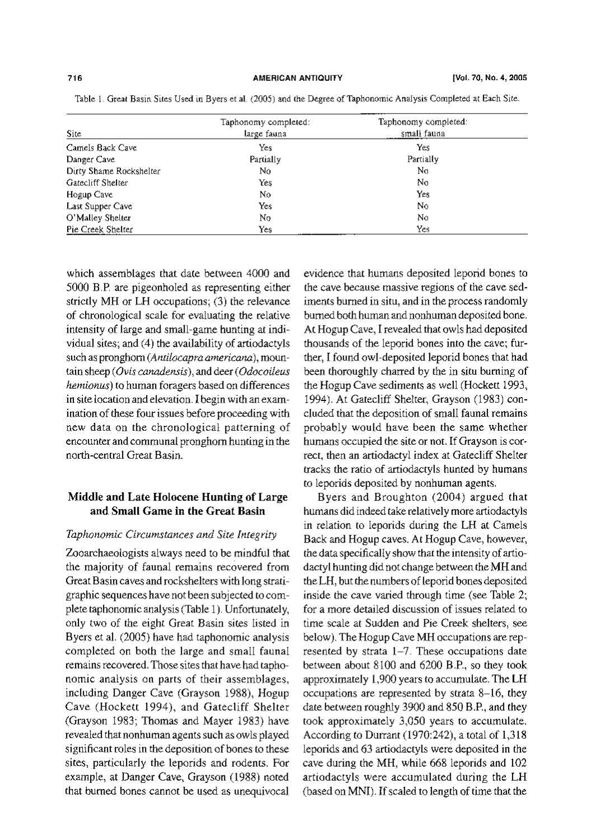| <b>Site</b>             | Taphonomy completed:<br>large fauna | Taphonomy completed:<br>small fauna |  |
|-------------------------|-------------------------------------|-------------------------------------|--|
| Camels Back Cave        | Yes                                 | Yes                                 |  |
| Danger Cave             | Partially                           | Partially                           |  |
| Dirty Shame Rockshelter | No                                  | No                                  |  |
| Gatecliff Shelter       | Yes                                 | No                                  |  |
| Hogup Cave              | No                                  | Yes                                 |  |
| Last Supper Cave        | Yes                                 | No                                  |  |
| O'Malley Shelter        | No                                  | No                                  |  |
| Pie Creek Shelter       | Yes                                 | Yes                                 |  |

Table 1. Great Basin Sites Used in Byers et al. (2005) and the Degree of Taphonomic Analysis Completed at Each Site.

which assemblages that date between 4000 and 5000 B.P. are pigeonholed as representing either strictly MH or LH occupations; (3) the relevance of chronological scale for evaluating the relative intensity of large and small-game hunting at individual sites; and (4) the availability of artiodactyls such as pronghom (Antilocapra americana), mountain sheep (Ovis canadensis), and deer (Odocoileus hemionus) to human foragers based on differences in site location and elevation. I begin with an examination of these four issues before proceeding with new data on the chronological patterning of encounter and communal pronghorn hunting in the north-central Great Basin.

## Middle and Late Holocene Hunting of Large and Small Game in the Great Basin

#### Taphonomic Circumstances and Site Integrity

Zooarchaeologists always need to be mindful that the majority of faunal remains recovered from Great Basin caves and rockshelters with long stratigraphic sequences have not been subjected to complete taphonomic analysis (Table 1). Unfortunately, only two of the eight Great Basin sites listed in Byers et al. (2005) have had taphonomic analysis completed on both the large and small faunal remains recovered. Those sites that have had taphonomic analysis on parts of their assemblages, including Danger Cave (Grayson 1988), Hogup Cave (Hockett 1994), and Gatecliff Shelter (Grayson 1983; Thomas and Mayer 1983) have revealed that nonhuman agents such as owls played significant roles in the deposition of bones to these sites, particularly the leporids and rodents. For example, at Danger Cave, Grayson (1988) noted that burned bones cannot be used as unequivocal

evidence that humans deposited leporid bones to the cave because massive regions of the cave sediments burned in situ, and in the process randomly burned both human and nonhuman deposited bone. At Hogup Cave, I revealed that owls had deposited thousands of the leporid bones into the cave; further, I found owl-deposited leporid bones that had been thoroughly charred by the in situ burning of the Hogup Cave sediments as well (Hockett 1993, 1994). At Gatecliff Shelter, Grayson (1983) concluded that the deposition of small faunal remains probably would have been the same whether humans occupied the site or not. If Grayson is correct, then an artiodactyl index at Gatecliff Shelter tracks the ratio of artiodactyls hunted by humans to leporids deposited by nonhuman agents.

Byers and Broughton (2004) argued that humans did indeed take relatively more artiodactyls in relation to leporids during the LH at Camels Back and Hogup caves. At Hogup Cave, however, the data specifically show that the intensity of artiodactyl hunting did not change between the MH and the LH, but the numbers of leporid bones deposited inside the cave varied through time (see Table 2; for a more detailed discussion of issues related to time scale at Sudden and Pie Creek shelters, see below). The Hogup Cave MH occupations are represented by strata 1-7. These occupations date between about 8100 and 6200 B.P., so they took approximately 1,900 years to accumulate. The LH occupations are represented by strata 8-16, they date between roughly 3900 and 850 B.P., and they took approximately 3,050 years to accumulate. According to Durrant (1970:242), a total of 1,318 leporids and 63 artiodactyls were deposited in the cave during the MH, while 668 leporids and 102 artiodactyls were accumulated during the LH (based on MNI). If scaled to length of time that the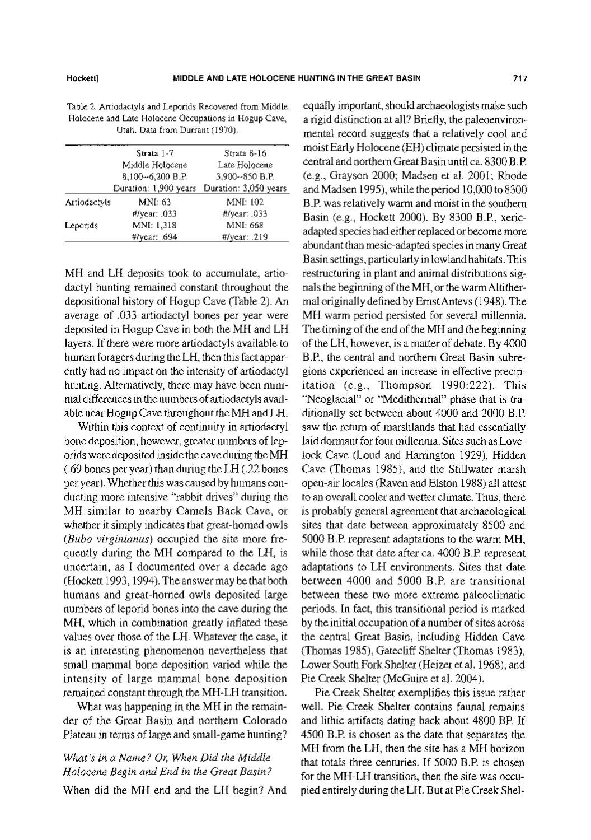Table 2. Artiodactyls and Leporids Recovered from Middle Holocene and Late Holocene Occupations in Hogup Cave, Utah. Data from Durrant (1970).

| Strata 1-7   |                       | Strata 8-16           |
|--------------|-----------------------|-----------------------|
|              | Middle Holocene       | Late Holocene         |
|              | 8,100-6,200 B.P.      | 3,900 - 850 B.P.      |
|              | Duration: 1,900 years | Duration: 3,050 years |
| Artiodactyls | MNI: 63               | MNI: 102              |
|              | $\#$ /year: 033       | $H$ /year: $033$      |
| Leporids     | MNI: 1.318            | MNI: 668              |
|              | #/year: .694          | #/year: .219          |

MH and LH deposits took to accumulate, artiodactyl hunting remained constant throughout the depositional history of Hogup Cave (Table 2). An average of .033 artiodactyl bones per year were deposited in Hogup Cave in both the MH and LH layers. If there were more artiodactyls available to human foragers during the LH, then this fact apparently had no impact on the intensity of artiodactyl hunting. Alternatively, there may have been minimal differences in the numbers of artiodactyls available near Hogup Cave throughout the MH and LH.

Within this context of continuity in artiodactyl bone deposition, however, greater numbers of leporids were deposited inside the cave during the MH (.69 bones per year) than during the LH (.22 bones per year). Whether this was caused by humans conducting more intensive "rabbit drives" during the MH similar to nearby Camels Back Cave, or whether it simply indicates that great-horned owls (Bubo virginianus) occupied the site more frequently during the MH compared to the LH, is uncertain, as I documented over a decade ago (Hockett 1993, 1994). The answer may be that both humans and great-horned owls deposited large numbers of leporid bones into the cave during the MH, which in combination greatly inflated these values over those of the LH. Whatever the case, it is an interesting phenomenon nevertheless that small mammal bone deposition varied while the intensity of large mammal bone deposition remained constant through the MH-LH transition.

What was happening in the MH in the remainder of the Great Basin and northern Colorado Plateau in terms of large and small-game hunting?

# What's in a Name? Or, When Did the Middle Holocene Begin and End in the Great Basin?

When did the MH end and the LH begin? And

equally important, should archaeologists make such a rigid distinction at all? Briefly, the paleoenvironmental record suggests that a relatively cool and moist Early Holocene (EH) climate persisted in the central and northern Great Basin until ca. 8300 B.P. (e.g., Grayson 2000; Madsen et al. 2001; Rhode and Madsen 1995), while the period 10,000 to 8300 B.P. was relatively warm and moist in the southern Basin (e.g., Hockett 2000). By 8300 B.P., xericadapted species had either replaced or become more abundant than mesic-adapted species in many Great Basin settings, particularly in lowland habitats. This restructuring in plant and animal distributions signals the beginning of the MH, or the warm Altithermal originally defined by Ernst Antevs (1948). The MH warm period persisted for several millennia. The timing of the end of the MH and the beginning of the LH, however, is a matter of debate. By 4000 B.P., the central and northern Great Basin subregions experienced an increase in effective precipitation (e.g., Thompson 1990:222). This "Neoglacial" or "Medithermal" phase that is traditionally set between about 4000 and 2000 B.P. saw the return of marshlands that had essentially laid dormant for four millennia. Sites such as Lovelock Cave (Loud and Harrington 1929), Hidden Cave (Thomas 1985), and the Stillwater marsh open-air locales (Raven and Elston 1988) all attest to an overall cooler and wetter climate. Thus, there is probably general agreement that archaeological sites that date between approximately 8500 and 5000 B.P. represent adaptations to the warm MH, while those that date after ca. 4000 B.P. represent adaptations to LH environments. Sites that date between 4000 and 5000 B.P. are transitional between these two more extreme paleoclimatic periods. In fact, this transitional period is marked by the initial occupation of a number of sites across the central Great Basin, including Hidden Cave (Thomas 1985), Gatecliff Shelter (Thomas 1983), Lower South Fork Shelter (Heizer et al. 1968), and Pie Creek Shelter (McGuire et al. 2004).

Pie Creek Shelter exemplifies this issue rather well. Pie Creek Shelter contains faunal remains and lithic artifacts dating back about 4800 BP. If 4500 B.P. is chosen as the date that separates the MH from the LH, then the site has a MH horizon that totals three centuries. If 5000 B.P. is chosen for the MH-LH transition, then the site was occupied entirely during the LH. But at Pie Creek Shel-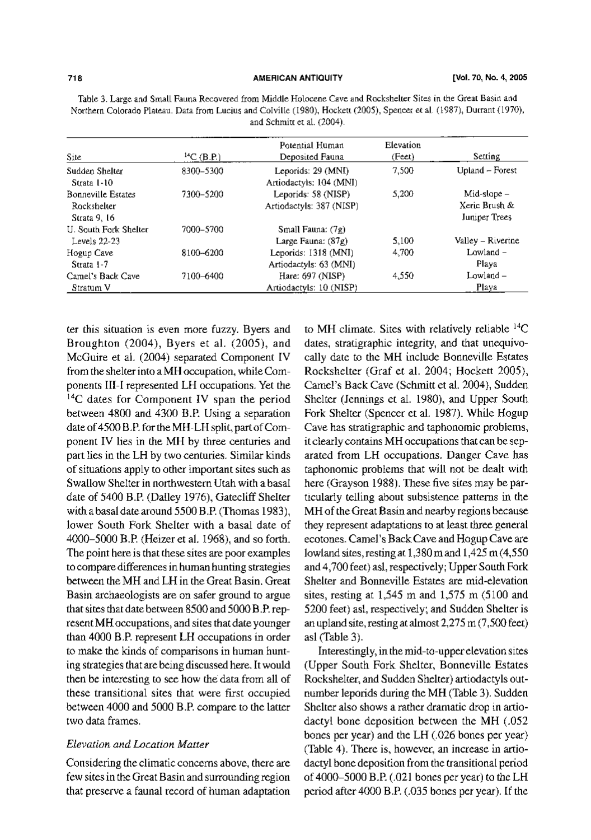| Site                                                     | ${}^{14}C$ (B.P.) | Potential Human<br>Deposited Fauna              | <b>Elevation</b><br>(Feet) | Setting                                         |
|----------------------------------------------------------|-------------------|-------------------------------------------------|----------------------------|-------------------------------------------------|
| Sudden Shelter<br>Strata 1-10                            | 8300-5300         | Leporids: 29 (MNI)<br>Artiodactyls: 104 (MNI)   | 7,500                      | Upland - Forest                                 |
| <b>Bonneville Estates</b><br>Rockshelter<br>Strata 9, 16 | 7300–5200         | Leporids: 58 (NISP)<br>Artiodactyls: 387 (NISP) | 5.200                      | $Mid-slope -$<br>Xeric Brush &<br>Juniper Trees |
| U. South Fork Shelter<br>Levels 22-23                    | 7000–5700         | Small Fauna: (7g)<br>Large Fauna: $(87g)$       | 5,100                      | Valley - Riverine                               |
| Hogup Cave<br>Strata 1-7                                 | 8100~6200         | Leporids: 1318 (MNI)<br>Artiodactyls: 63 (MNI)  | 4,700                      | Lowland $-$<br>Plava                            |
| Camel's Back Cave<br>Stratum V                           | 7100-6400         | Hare: 697 (NISP)<br>Artiodactyls: 10 (NISP)     | 4.550                      | $Lowland -$<br>Playa                            |

Table 3. Large and Small Fauna Recovered from Middle Holocene Cave and Rockshelter Sites in the Great Basin and Northern Colorado Plateau. Data from Lucius and Colville (1980), Hockett (2005), Spencer et al. (1987), Durrant (1970), and Schmitt et al. (2004).

ter this situation is even more fuzzy. Byers and Broughton (2004), Byers et al. (2005), and McGuire et al. (2004) separated Component IV from the shelter into a MH occupation, while Components III-I represented LH occupations. Yet the  $14C$  dates for Component IV span the period between 4800 and 4300 B.P. Using a separation date of 4500 B.P. for the MH-LH split, part of Component IV lies in the MH by three centuries and part lies in the LH by two centuries. Similar kinds of situations apply to other important sites such as Swallow Shelter in northwestern Utah with a basal date of 5400 B.P. (Dailey 1976), Gatecliff Shelter with a basal date around 5500 B.P. (Thomas 1983), lower South Fork Shelter with a basal date of 4000-5000 B.P. (Heizer et al. 1968), and so forth. The point here is that these sites are poor examples to compare differences in human hunting strategies between the MH and LH in the Great Basin, Great Basin archaeologists are on safer ground to argue that sites that date between 8500 and 5000 B.P. represent MH occupations, and sites that date younger than 4000 B.P. represent LH occupations in order to make the kinds of comparisons in human hunting strategies that are being discussed here. It would then be interesting to see how the data from all of these transitional sites that were first occupied between 4000 and 5000 B.P. compare to the latter two data frames.

#### Elevation and Location Matter

Considering the climatic concerns above, there are few sites in the Great Basin and surrounding region that preserve a faunal record of human adaptation

to MH climate. Sites with relatively reliable  $^{14}C$ dates, stratigraphic integrity, and that unequivocally date to the MH include Bonneville Estates Rockshelter (Graf et al. 2004; Hockett 2005), Camel's Back Cave (Schmitt et al. 2004), Sudden Shelter (Jennings et al. 1980), and Upper South Fork Shelter (Spencer et al. 1987). While Hogup Cave has stratigraphic and taphonomic problems, it clearly contains MH occupations that can be separated from LH occupations. Danger Cave has taphonomic problems that will not be dealt with here (Grayson 1988). These five sites may be particularly telling about subsistence patterns in the MH of the Great Basin and nearby regions because they represent adaptations to at least three general ecotones. Camel's Back Cave and Hogup Cave are lowland sites, resting at 1,380 m and 1,425 m (4,550 and 4,700 feet) asl, respectively; Upper South Fork Shelter and Bonneville Estates are mid-elevation sites, resting at  $1,545$  m and  $1,575$  m  $(5100$  and 5200 feet) asl, respectively; and Sudden Shelter is an upland site, resting at almost 2,275 m (7,500 feet) asl (Table 3).

Interestingly, in the mid-to-upper elevation sites (Upper South Fork Shelter, Bonneville Estates Rockshelter, and Sudden Shelter) artiodactyls outnumber leporids during the MH (Table 3). Sudden Shelter also shows a rather dramatic drop in artiodactyl bone deposition between the MH (.052 bones per year) and the LH (.026 bones per year) (Table 4). There is, however, an increase in artiodactyl bone deposition from the transitional period of 4000-5000 B.P. (.021 bones per year) to the LH period after 4000 B.P. (.035 bones per year). If the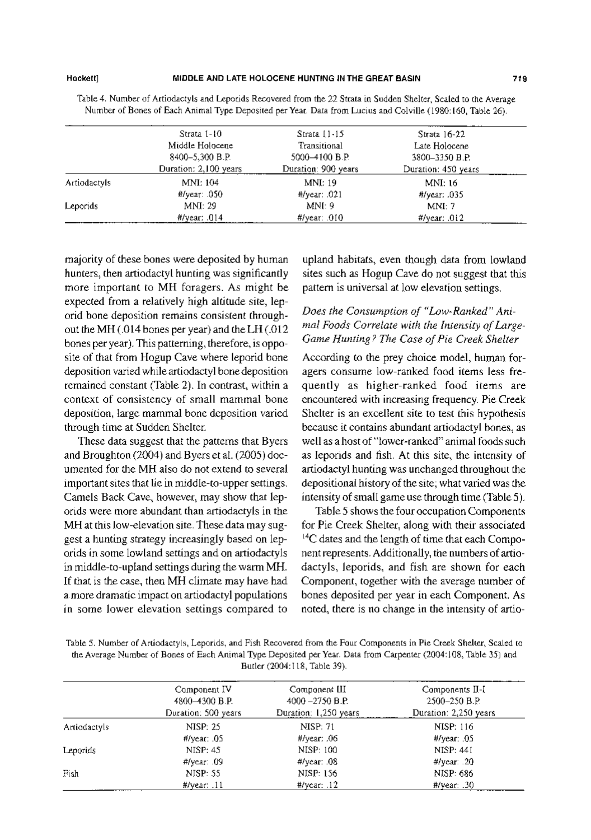#### MIDDLE AND LATE HOLOGENE HUNTING IN THE GREAT BASIN

Table 4. Number of Artiodactyls and Leporids Recovered from the 22 Strata in Sudden Shelter, Scaled to the Average Number of Bones of Each Animal Type Deposited per Year. Data from Lucius and Colville (1980:160, Table 26).

|              | Strata 1-10                                                                                                                                                                                                                                                                                                                                            | $Strata$ $11-15$    | Strata 16-22        |
|--------------|--------------------------------------------------------------------------------------------------------------------------------------------------------------------------------------------------------------------------------------------------------------------------------------------------------------------------------------------------------|---------------------|---------------------|
|              | Middle Holocene                                                                                                                                                                                                                                                                                                                                        | Transitional        | Late Holocene       |
|              | 8400-5.300 B.P.                                                                                                                                                                                                                                                                                                                                        | 5000-4100 B.P.      | 3800-3350 B.P.      |
|              | Duration: 2,100 years                                                                                                                                                                                                                                                                                                                                  | Duration: 900 years | Duration: 450 years |
| Artiodactyls | MNI: 104                                                                                                                                                                                                                                                                                                                                               | MNI: 19             | MNI: 16             |
|              | $\frac{4}{\sqrt{2}}$ / $\frac{4}{\sqrt{2}}$ / $\frac{4}{\sqrt{2}}$ / $\frac{4}{\sqrt{2}}$ / $\frac{4}{\sqrt{2}}$ / $\frac{4}{\sqrt{2}}$ / $\frac{4}{\sqrt{2}}$ / $\frac{4}{\sqrt{2}}$ / $\frac{4}{\sqrt{2}}$ / $\frac{4}{\sqrt{2}}$ / $\frac{4}{\sqrt{2}}$ / $\frac{4}{\sqrt{2}}$ / $\frac{4}{\sqrt{2}}$ / $\frac{4}{\sqrt{2}}$ / $\frac{4}{\sqrt{2}}$ | $\#$ /year: .021    | $H$ /year: .035     |
| Leporids     | MNI: 29                                                                                                                                                                                                                                                                                                                                                | MNI: 9              | MNI: 7              |
|              | $\#$ /vear: .014                                                                                                                                                                                                                                                                                                                                       | $\#$ /year: .010    | $#$ /year: .012     |

majority of these bones were deposited by human hunters, then artiodactyl hunting was significantly more important to MH foragers. As might be expected from a relatively high altitude site, leporid bone deposition remains consistent throughout the MH (.014 bones per year) and the LH (.012 bones per year). This patterning, therefore, is opposite of that from Hogup Cave where leporid bone deposition varied while artiodactyl bone deposition remained constant (Table 2). In contrast, within a context of consistency of small mammal bone deposition, large mammal bone deposition varied through time at Sudden Shelter.

These data suggest that the patterns that Byers and Broughton (2004) and Byers et al. (2005) documented for the MH also do not extend to several important sites that lie in middle-to-upper settings. Camels Back Cave, however, may show that leporids were more abundant than artiodactyls in the MH at this low-elevation site. These data may suggest a hunting strategy increasingly based on leporids in some lowland settings and on artiodactyls in middle-to-upland settings during the warm MH. If that is the case, then MH climate may have had a more dramatic impact on artiodactyl populations in some lower elevation settings compared to

upland habitats, even though data from lowland sites such as Hogup Cave do not suggest that this pattern is universal at low elevation settings.

## Does the Consumption of "Low-Ranked" Animal Foods Correlate with the Intensity of Large-Game Hunting? The Case of Pie Creek Shelter

According to the prey choice model, human foragers consume low-ranked food items less frequently as higher-ranked food items are encountered with increasing frequency. Pie Creek Shelter is an excellent site to test this hypothesis because it contains abundant artiodactyl bones, as well as a host of "lower-ranked" animal foods such as leporids and fish. At this site, the intensity of artiodactyl hunting was unchanged throughout the depositional history of the site; what varied was the intensity of small game use through time (Table 5).

Table 5 shows the four occupation Components for Pie Creek Shelter, along with their associated <sup>14</sup>C dates and the length of time that each Component represents. Additionally, the numbers of artiodactyls, leporids, and fish are shown for each Component, together with the average number of bones deposited per year in each Component. As noted, there is no change in the intensity of artio-

| Table 5. Number of Artiodactyls, Leporids, and Fish Recovered from the Four Components in Pie Creek Shelter, Scaled to |
|------------------------------------------------------------------------------------------------------------------------|
| the Average Number of Bones of Each Animal Type Deposited per Year. Data from Carpenter (2004:108, Table 35) and       |
| Butler (2004:118, Table 39).                                                                                           |

|              | Component IV        | Component III         | Components II-I                             |
|--------------|---------------------|-----------------------|---------------------------------------------|
|              | 4800-4300 B.P.      | $4000 - 2750 B.P.$    | 2500-250 B.P.                               |
|              | Duration: 500 years | Duration: 1,250 years | Duration: 2,250 years                       |
| Artiodactyls | NISP: 25            | <b>NISP: 71</b>       | NISP: 116                                   |
|              | $\#$ /year: .05     | $\#$ /year: .06       | $\frac{H}{\text{year}}$ .05                 |
| Leporids     | NISP: 45            | NISP: 100             | NISP: 441                                   |
|              | $\#$ /year: .09     | $\#$ /year: .08       | $\frac{4}{\sqrt{2}}$ / $\frac{4}{\sqrt{2}}$ |
| Fish         | NISP: 55            | NISP: 156             | NISP: 686                                   |
|              | $\#$ /year: $.11$   | $\#$ /year: $.12$     | $\#$ /year: $.30$                           |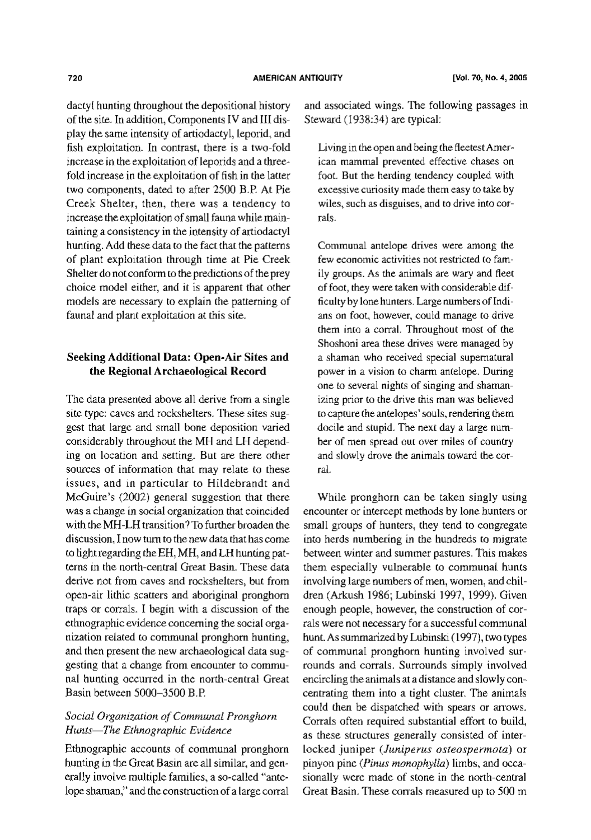dactyl hunting throughout the depositional history of the site. In addition, Components IV and III display the same intensity of artiodactyl, leporid, and fish exploitation. In contrast, there is a two-fold increase in the exploitation of leporids and a threefold increase in the exploitation of fish in the latter two components, dated to after 2500 B.P. At Pie Creek Shelter, then, there was a tendency to increase the exploitation of small fauna while maintaining a consistency in the intensity of artiodactyl hunting. Add these data to the fact that the patterns of plant exploitation through time at Pie Creek Shelter do not conform to the predictions of the prey choice model either, and it is apparent that other models are necessary to explain the patterning of faunal and plant exploitation at this site.

## Seeking Additional Data: Open-Air Sites and the Regional Archaeological Record

The data presented above all derive from a single site type: caves and rockshelters. These sites suggest that large and small bone deposition varied considerably throughout the MH and LH depending on location and setting. But are there other sources of information that may relate to these issues, and in particular to Hildebrandt and McGuire's (2002) general suggestion that there was a change in social organization that coincided with the MH-LH transition? To further broaden the discussion. I now turn to the new data that has come to light regarding the EH, MH, and LH hunting patterns in the north-central Great Basin. These data derive not from caves and rockshelters, but from open-air lithic scatters and aboriginal pronghorn traps or corrals. I begin with a discussion of the ethnographic evidence concerning the social organization related to communal pronghorn hunting, and then present the new archaeological data suggesting that a change from encounter to communal hunting occurred in the north-central Great Basin between 5000-3500 B.P.

### Social Organization of Communal Pronghorn Hunts-The Ethnographic Evidence

Ethnographic accounts of communal pronghorn hunting in the Great Basin are all similar, and generally involve multiple families, a so-called "antelope shaman," and the construction of a large corral and associated wings. The following passages in Steward (1938:34) are typical:

Living in the open and being the fleetest American mammal prevented effective chases on foot. But the herding tendency coupled with excessive curiosity made them easy to take by wiles, such as disguises, and to drive into corrals.

Communal antelope drives were among the few economic activities not restricted to family groups. As the animals are wary and fleet of foot, they were taken with considerable difficulty by lone hunters. Large numbers of Indians on foot, however, could manage to drive them into a corral. Throughout most of the Shoshoni area these drives were managed by a shaman who received special supernatural power in a vision to charm antelope. During one to several nights of singing and shamanizing prior to the drive this man was believed to capture the antelopes' souls, rendering them docile and stupid. The next day a large number of men spread out over miles of country and slowly drove the animals toward the corral.

While pronghorn can be taken singly using encounter or intercept methods by lone hunters or small groups of hunters, they tend to congregate into herds numbering in the hundreds to migrate between winter and summer pastures. This makes them especially vulnerable to communal hunts involving large numbers of men, women, and children (Arkush 1986; Lubinski 1997, 1999). Given enough people, however, the construction of corrals were not necessary for a successful communal hunt. As summarized by Lubinski (1997), two types of communal pronghorn hunting involved surrounds and corrals. Surrounds simply involved encircling the animals at a distance and slowly concentrating them into a tight cluster. The animals could then be dispatched with spears or arrows. Corrals often required substantial effort to build, as these structures generally consisted of interlocked juniper (Juniperus osteospermota) or pinyon pine (Pinus monophylla) limbs, and occasionally were made of stone in the north-central Great Basin. These corrals measured up to 500 m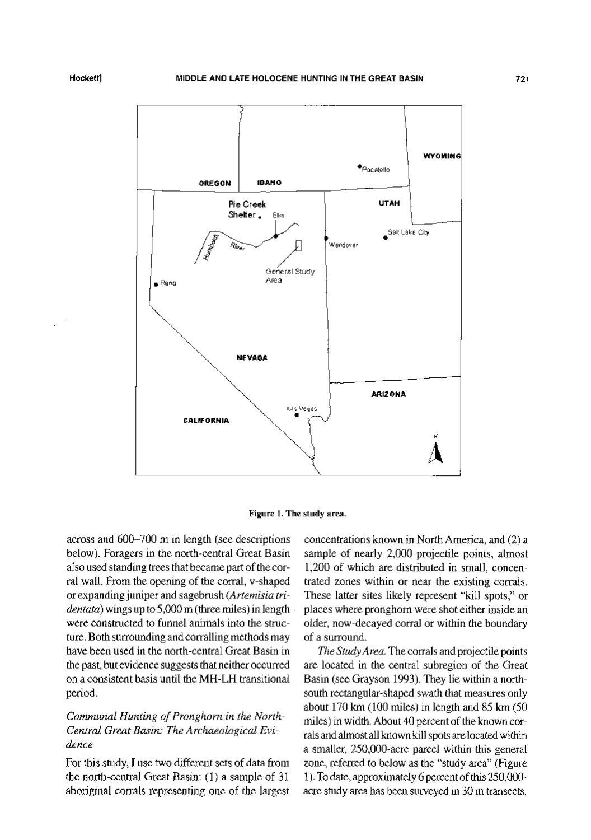



across and 600-700 m in length (see descriptions below). Foragers in the north-central Great Basin also used standing trees that became part of the corral wall. From the opening of the corral, v-shaped or expanding juniper and sagebrush (Artemisia tri $d$ *entata*) wings up to 5,000 m (three miles) in length were constructed to funnel animals into the structure. Both surrounding and corralling methods may have been used in the north-central Great Basin in the past, but evidence suggests that neither occurred on a consistent basis until the MH-LH transitional period.

## Communal Hunting of Pronghorn in the North-Central Great Basin: The Archaeological Evidence

For this study, I use two different sets of data from the north-central Great Basin: (1) a sample of 31 aboriginal corrals representing one of the largest concentrations known in North America, and (2) a sample of nearly 2,000 projectile points, almost 1,200 of which are distributed in small, concentrated zones within or near the existing corrals. These latter sites likely represent "kill spots," or places where pronghorn were shot either inside an older, now-decayed corral or within the boundary of a surround.

The Study Area. The corrals and projectile points are located in the central subregion of the Great Basin (see Grayson 1993). They lie within a northsouth rectangular-shaped swath that measures only about 170 km (100 miles) in length and 85 km (50 miles) in width. About 40 percent of the known corrals and almost all known kill spots are located within a smaller, 250,000-acre parcel within this general zone, referred to below as the "study area" (Figure 1). To date, approximately 6 percent of this 250,000acre study area has been surveyed in 30 m transects.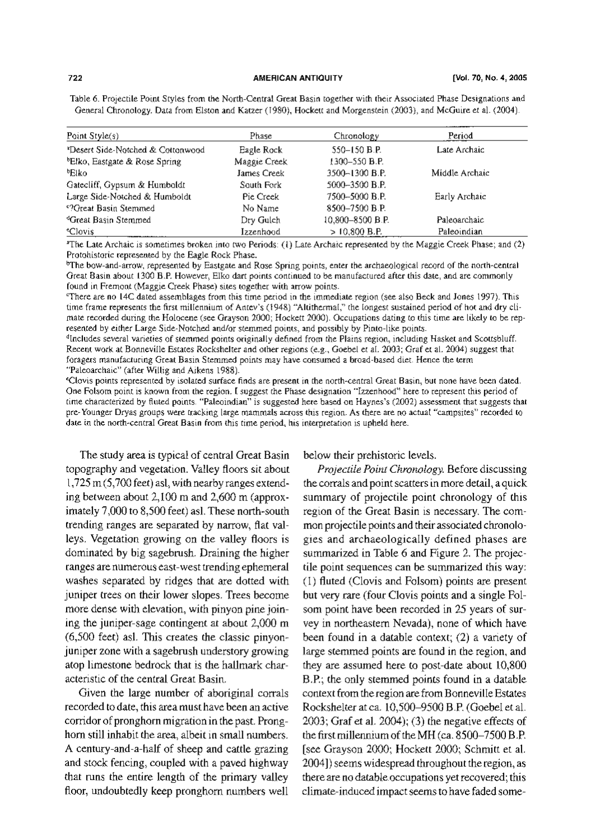#### **AMERICAN ANTIQUITY**

Table 6. Projectile Point Styles from the North-Central Great Basin together with their Associated Phase Designations and General Chronology. Data from Elston and Katzer (1980), Hockett and Morgenstein (2003), and McGuire et al. (2004).

| Point Style(s)                                | Phase        | Chronology       | Period         |  |
|-----------------------------------------------|--------------|------------------|----------------|--|
| <sup>2</sup> Desert Side-Notched & Cottonwood | Eagle Rock   | 550-150 B.P.     | Late Archaic   |  |
| <sup>b</sup> Elko, Eastgate & Rose Spring     | Maggie Creek | 1300-550 B.P.    |                |  |
| ®Elko                                         | James Creek  | 3500-1300 B.P.   | Middle Archaic |  |
| Gatecliff, Gypsum & Humboldt                  | South Fork   | 5000-3500 B.P.   |                |  |
| Large Side-Notched & Humboldt                 | Pie Creek    | 7500-5000 B.P.   | Early Archaic  |  |
| <sup>e</sup> ?Great Basin Stemmed             | No Name      | 8500-7500 B.P.   |                |  |
| <sup>d</sup> Great Basin Stemmed              | Dry Gulch    | 10.800-8500 B.P. | Paleoarchaic   |  |
| <i>eClovis</i>                                | Izzenhood    | $>10.800$ B.P.   | Paleoindian    |  |

<sup>a</sup>The Late Archaic is sometimes broken into two Periods: (1) Late Archaic represented by the Maggie Creek Phase; and (2) Protohistoric represented by the Eagle Rock Phase.

<sup>b</sup>The bow-and-arrow, represented by Eastgate and Rose Spring points, enter the archaeological record of the north-central Great Basin about 1300 B.P. However, Elko dart points continued to be manufactured after this date, and are commonly found in Fremont (Maggie Creek Phase) sites together with arrow points.

"There are no 14C dated assemblages from this time period in the immediate region (see also Beck and Jones 1997). This time frame represents the first millennium of Antev's (1948) "Altithermal," the longest sustained period of hot and dry climate recorded during the Holocene (see Grayson 2000; Hockett 2000). Occupations dating to this time are likely to be represented by either Large Side-Notched and/or stemmed points, and possibly by Pinto-like points.

<sup>d</sup>Includes several varieties of stemmed points originally defined from the Plains region, including Hasket and Scottsbluff. Recent work at Bonneville Estates Rockshelter and other regions (e.g., Goebel et al. 2003; Graf et al. 2004) suggest that foragers manufacturing Great Basin Stemmed points may have consumed a broad-based diet. Hence the term "Paleoarchaic" (after Willig and Aikens 1988).

\*Clovis points represented by isolated surface finds are present in the north-central Great Basin, but none have been dated. One Folsom point is known from the region. I suggest the Phase designation "Izzenhood" here to represent this period of time characterized by fluted points. "Paleoindian" is suggested here based on Haynes's (2002) assessment that suggests that pre-Younger Dryas groups were tracking large mammals across this region. As there are no actual "campsites" recorded to date in the north-central Great Basin from this time period, his interpretation is upheld here.

The study area is typical of central Great Basin topography and vegetation. Valley floors sit about  $1,725$  m (5,700 feet) asl, with nearby ranges extending between about 2,100 m and 2,600 m (approximately 7,000 to 8,500 feet) asl. These north-south trending ranges are separated by narrow, flat valleys. Vegetation growing on the valley floors is dominated by big sagebrush. Draining the higher ranges are numerous east-west trending ephemeral washes separated by ridges that are dotted with juniper trees on their lower slopes. Trees become more dense with elevation, with pinyon pine joining the juniper-sage contingent at about 2,000 m (6,500 feet) asl. This creates the classic pinyonjuniper zone with a sagebrush understory growing atop limestone bedrock that is the hallmark characteristic of the central Great Basin.

Given the large number of aboriginal corrals recorded to date, this area must have been an active corridor of pronghorn migration in the past. Pronghorn still inhabit the area, albeit in small numbers. A century-and-a-half of sheep and cattle grazing and stock fencing, coupled with a paved highway that runs the entire length of the primary valley floor, undoubtedly keep pronghorn numbers well

below their prehistoric levels.

Projectile Point Chronology. Before discussing the corrals and point scatters in more detail, a quick summary of projectile point chronology of this region of the Great Basin is necessary. The common projectile points and their associated chronologies and archaeologically defined phases are summarized in Table 6 and Figure 2. The projectile point sequences can be summarized this way: (1) fluted (Clovis and Folsom) points are present but very rare (four Clovis points and a single Folsom point have been recorded in 25 years of survey in northeastern Nevada), none of which have been found in a datable context; (2) a variety of large stemmed points are found in the region, and they are assumed here to post-date about 10,800 B.P.; the only stemmed points found in a datable context from the region are from Bonneville Estates Rockshelter at ca. 10,500-9500 B.P. (Goebel et al.  $2003$ ; Graf et al.  $2004$ ); (3) the negative effects of the first millennium of the MH (ca. 8500–7500 B.P. [see Grayson 2000; Hockett 2000; Schmitt et al. 2004]) seems widespread throughout the region, as there are no datable occupations yet recovered; this climate-induced impact seems to have faded some-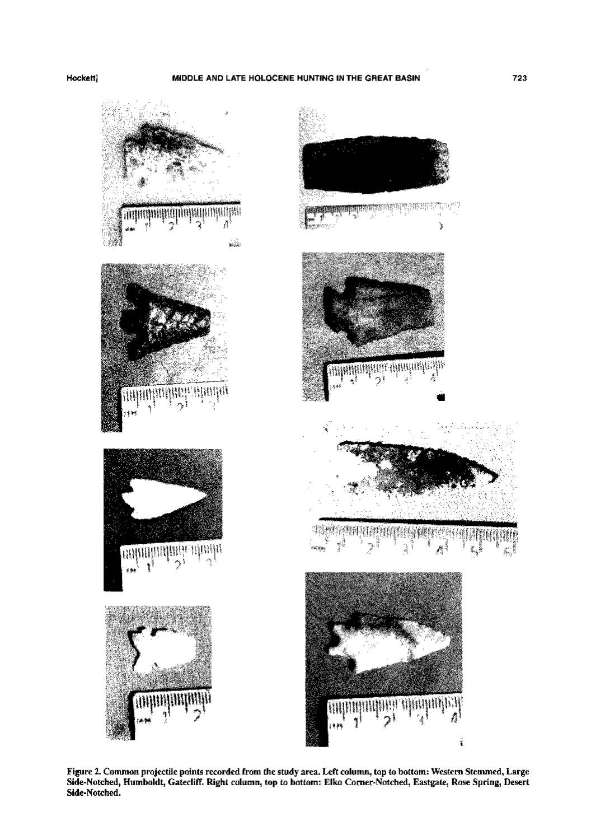9gri) क<sub>ी</sub>माञ§ी∑म gregoran Ő y  $\frac{1}{2} \frac{1}{\log(2\pi)}$ r, MANIH **ARICULATION CONTRACTOR DESCRIPTION AND ARTICLES** 

Figure 2. Common projectile points recorded from the study area. Left column, top to bottom: Western Stemmed, Large<br>Side-Notched, Humboldt, Gatecliff. Right column, top to bottom: Elko Corner-Notched, Eastgate, Rose Spring Side-Notched.

ĭ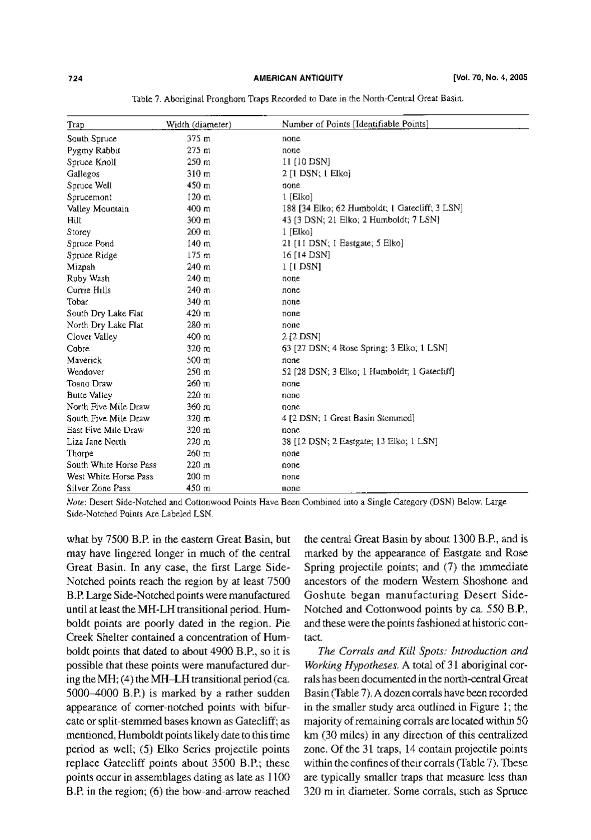| Trap                   | Width (diameter) | Number of Points [Identifiable Points]         |
|------------------------|------------------|------------------------------------------------|
| South Spruce           | 375 m            | none                                           |
| Pygmy Rabbit           | 275 <sub>m</sub> | none                                           |
| Spruce Knoll           | 250 <sub>m</sub> | 11 [10 DSN]                                    |
| Gallegos               | 310 m            | $2 \lceil 1 \text{DSN}$ ; $1 \text{ Elko}$     |
| Spruce Well            | 450 m            | none                                           |
| Sprucemont             | $120 \text{ m}$  | $1$ [Elko]                                     |
| Valley Mountain        | $400 \text{ m}$  | 188 [34 Elko; 62 Humboldt; 1 Gatecliff; 3 LSN] |
| Hill                   | 300 m            | 43 [3 DSN; 21 Elko; 2 Humboldt; 7 LSN]         |
| Storey                 | $200 \text{ m}$  | 1 [Elko]                                       |
| Spruce Pond            | 140 m            | 21 [11 DSN; I Eastgate; 5 Elko]                |
| Spruce Ridge           | 175 <sub>m</sub> | 16 [14 DSN]                                    |
| Mizpah                 | 240 m            | $1$ [1 DSN]                                    |
| Ruby Wash              | 240 <sub>m</sub> | none                                           |
| Currie Hills           | 240 <sub>m</sub> | none                                           |
| Tobar                  | 340 m            | none                                           |
| South Dry Lake Flat    | 420 m            | none                                           |
| North Dry Lake Flat    | 280 m            | none                                           |
| Clover Valley          | 400 m            | $212$ DSN                                      |
| Cobre                  | 320 m            | 63 [27 DSN; 4 Rose Spring; 3 Elko; 1 LSN]      |
| Maverick               | 500 m            | none                                           |
| Wendover               | $250 \text{ m}$  | 52 [28 DSN; 3 Elko; 1 Humboldt; 1 Gatecliff]   |
| Toano Draw             | 260 m            | none                                           |
| <b>Butte Valley</b>    | 220 m            | none                                           |
| North Five Mile Draw   | 360 m            | none                                           |
| South Five Mile Draw   | 320 m            | 4 [2 DSN; I Great Basin Stemmed]               |
| East Five Mile Draw    | 320 m            | none                                           |
| Liza Jane North        | 220 m            | 38 [12 DSN; 2 Eastgate; 13 Elko; 1 LSN]        |
| Thorpe                 | $260 \text{ m}$  | none                                           |
| South White Horse Pass | 220 <sub>m</sub> | none                                           |
| West White Horse Pass  | $200 \text{ m}$  | none                                           |
| Silver Zone Pass       | 450 m            | none                                           |

Table 7. Aboriginal Pronghorn Traps Recorded to Date in the North-Central Great Basin.

Note: Desert Side-Notched and Cottonwood Points Have Been Combined into a Single Category (DSN) Below. Large Side-Notched Points Are Labeled LSN.

what by 7500 B.P. in the eastern Great Basin, but may have lingered longer in much of the central Great Basin. In any case, the first Large Side-Notched points reach the region by at least 7500 B.P. Large Side-Notched points were manufactured until at least the MH-LH transitional period. Humboldt points are poorly dated in the region. Pie Creek Shelter contained a concentration of Humboldt points that dated to about 4900 B.P., so it is possible that these points were manufactured during the MH; (4) the MH-LH transitional period (ca. 5000-4000 B.P.) is marked by a rather sudden appearance of corner-notched points with bifurcate or split-stemmed bases known as Gatecliff; as mentioned, Humboldt points likely date to this time period as well; (5) Elko Series projectile points replace Gatecliff points about 3500 B.P.; these points occur in assemblages dating as late as 1100 B.P. in the region; (6) the bow-and-arrow reached

the central Great Basin by about 1300 B.P., and is marked by the appearance of Eastgate and Rose Spring projectile points; and (7) the immediate ancestors of the modern Western Shoshone and Goshute began manufacturing Desert Side-Notched and Cottonwood points by ca. 550 B.P., and these were the points fashioned at historic contact.

The Corrals and Kill Spots: Introduction and Working Hypotheses. A total of 31 aboriginal corrals has been documented in the north-central Great Basin (Table 7). A dozen corrals have been recorded in the smaller study area outlined in Figure 1; the majority of remaining corrals are located within 50 km (30 miles) in any direction of this centralized zone. Of the 31 traps, 14 contain projectile points within the confines of their corrals (Table 7). These are typically smaller traps that measure less than 320 m in diameter. Some corrals, such as Spruce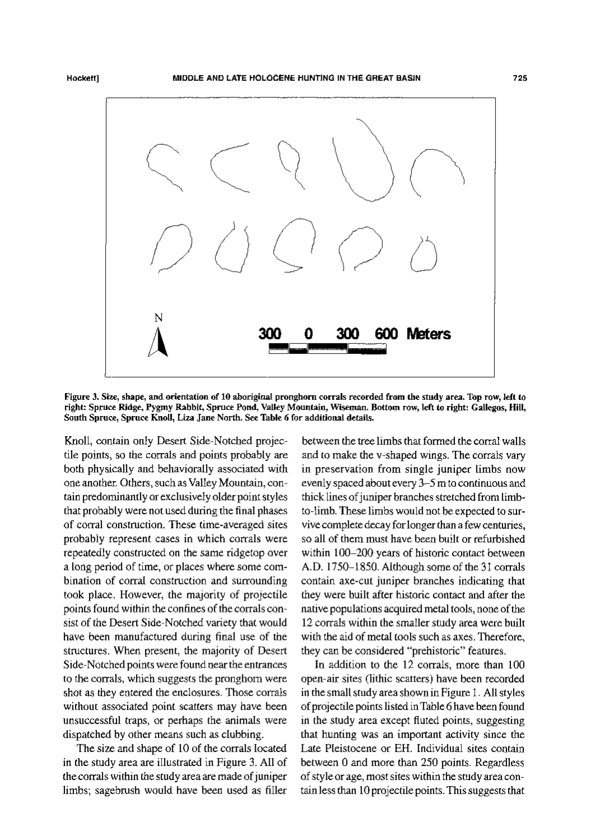

Figure 3. Size, shape, and orientation of 10 aboriginal pronghorn corrals recorded from the study area. Top row, left to right: Spruce Ridge, Pygmy Rabbit, Spruce Pond, Valley Mountain, Wiseman. Bottom row, left to right: Gallegos, Hill, South Spruce, Spruce Knoll, Liza Jane North. See Table 6 for additional details.

Knoll, contain only Desert Side-Notched projectile points, so the corrals and points probably are both physically and behaviorally associated with one another. Others, such as Valley Mountain, contain predominantly or exclusively older point styles that probably were not used during the final phases of corral construction. These time-averaged sites probably represent cases in which corrals were repeatedly constructed on the same ridgetop over a long period of time, or places where some combination of corral construction and surrounding took place. However, the majority of projectile points found within the confines of the corrals consist of the Desert Side-Notched variety that would have been manufactured during final use of the structures. When present, the majority of Desert Side-Notched points were found near the entrances to the corrals, which suggests the pronghom were shot as they entered the enclosures. Those corrals without associated point scatters may have been unsuccessful traps, or perhaps the animals were dispatched by other means such as clubbing.

The size and shape of 10 of the corrals located in the study area are illustrated in Figure 3. All of the corrals within the study area are made of juniper limbs; sagebrush would have been used as filler

between the tree limbs that formed the corral walls and to make the v-shaped wings. The corrals vary in preservation from single juniper limbs now evenly spaced about every 3-5 m to continuous and thick lines of juniper branches stretched from limbto-limb. These limbs would not be expected to survive complete decay for longer than a few centuries, so all of them must have been built or refurbished within 100-200 years of historic contact between A.D. 1750–1850. Although some of the 31 corrals contain axe-cut juniper branches indicating that they were built after historic contact and after the native populations acquired metal tools, none of the 12 corrals within the smaller study area were built with the aid of metal tools such as axes. Therefore, they can be considered "prehistoric" features.

In addition to the 12 corrals, more than 100 open-air sites (lithic scatters) have been recorded in the small study area shown in Figure 1. All styles of projectile points listed in Table 6 have been found in the study area except fluted points, suggesting that hunting was an important activity since the Late Pleistocene or EH. Individual sites contain between 0 and more than 250 points. Regardless of style or age, most sites within the study area contain less than 10 projectile points. This suggests that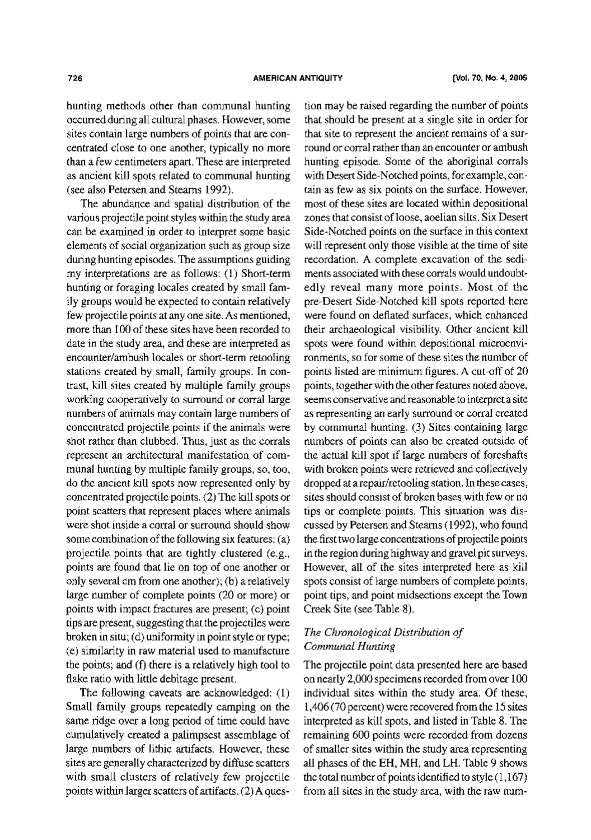hunting methods other than communal hunting occurred during all cultural phases. However, some sites contain large numbers of points that are concentrated close to one another, typically no more than a few centimeters apart. These are interpreted as ancient kill spots related to communal hunting (see also Petersen and Stearns 1992).

The abundance and spatial distribution of the various projectile point styles within the study area can be examined in order to interpret some basic elements of social organization such as group size during hunting episodes. The assumptions guiding my interpretations are as follows: (1) Short-term hunting or foraging locales created by small family groups would be expected to contain relatively few projectile points at any one site. As mentioned, more than 100 of these sites have been recorded to date in the study area, and these are interpreted as encounter/ambush locales or short-term retooling stations created by small, family groups. In contrast, kill sites created by multiple family groups working cooperatively to surround or corral large numbers of animals may contain large numbers of concentrated projectile points if the animals were shot rather than clubbed. Thus, just as the corrals represent an architectural manifestation of communal hunting by multiple family groups, so, too, do the ancient kill spots now represented only by concentrated projectile points. (2) The kill spots or point scatters that represent places where animals were shot inside a corral or surround should show some combination of the following six features: (a) projectile points that are tightly clustered (e.g., points are found that lie on top of one another or only several cm from one another); (b) a relatively large number of complete points (20 or more) or points with impact fractures are present; (c) point tips are present, suggesting that the projectiles were broken in situ; (d) uniformity in point style or type; (e) similarity in raw material used to manufacture the points; and (f) there is a relatively high tool to flake ratio with little debitage present.

The following caveats are acknowledged:  $(1)$ Small family groups repeatedly camping on the same ridge over a long period of time could have cumulatively created a palimpsest assemblage of large numbers of lithic artifacts. However, these sites are generally characterized by diffuse scatters with small clusters of relatively few projectile points within larger scatters of artifacts. (2) A ques-

tion may be raised regarding the number of points that should be present at a single site in order for that site to represent the ancient remains of a surround or corral rather than an encounter or ambush hunting episode. Some of the aboriginal corrals with Desert Side-Notched points, for example, contain as few as six points on the surface. However, most of these sites are located within depositional zones that consist of loose, aoelian silts. Six Desert Side-Notched points on the surface in this context will represent only those visible at the time of site recordation. A complete excavation of the sediments associated with these corrals would undoubtedly reveal many more points. Most of the pre-Desert Side-Notched kill spots reported here were found on deflated surfaces, which enhanced their archaeological visibility. Other ancient kill spots were found within depositional microenvironments, so for some of these sites the number of points listed are minimum figures. A cut-off of 20 points, together with the other features noted above, seems conservative and reasonable to interpret a site as representing an early surround or corral created by communal hunting. (3) Sites containing large numbers of points can also be created outside of the actual kill spot if large numbers of foreshafts with broken points were retrieved and collectively dropped at a repair/retooling station. In these cases, sites should consist of broken bases with few or no tips or complete points. This situation was discussed by Petersen and Stearns (1992), who found the first two large concentrations of projectile points in the region during highway and gravel pit surveys. However, all of the sites interpreted here as kill spots consist of large numbers of complete points, point tips, and point midsections except the Town Creek Site (see Table 8).

# The Chronological Distribution of Communal Hunting

The projectile point data presented here are based on nearly 2,000 specimens recorded from over 100 individual sites within the study area. Of these, 1,406 (70 percent) were recovered from the 15 sites interpreted as kill spots, and listed in Table 8. The remaining 600 points were recorded from dozens of smaller sites within the study area representing all phases of the EH, MH, and LH. Table 9 shows the total number of points identified to style  $(1,167)$ from all sites in the study area, with the raw num-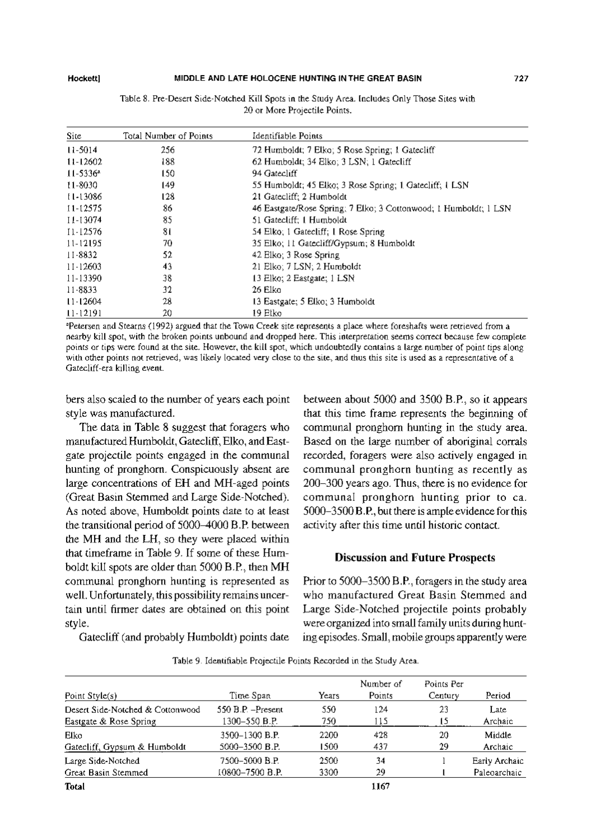#### MIDDLE AND LATE HOLOCENE HUNTING IN THE GREAT BASIN

| Site.         | Total Number of Points | Identifiable Points                                              |
|---------------|------------------------|------------------------------------------------------------------|
| $11-5014$     | 256                    | 72 Humboldt; 7 Elko; 5 Rose Spring; 1 Gatecliff                  |
| $11 - 12602$  | 188                    | 62 Humboldt; 34 Elko; 3 LSN; 1 Gatecliff                         |
| $11 - 5336^*$ | 150                    | 94 Gatecliff                                                     |
| 11-8030       | 149                    | 55 Humboldt; 45 Elko; 3 Rose Spring; 1 Gatecliff; 1 LSN          |
| 11-13086      | 128                    | 21 Gatecliff: 2 Humboldt                                         |
| 11-12575      | 86                     | 46 Eastgate/Rose Spring; 7 Elko; 3 Cottonwood; 1 Humboldt; 1 LSN |
| 11-13074      | 85                     | 51 Gatecliff: 1 Humboldt                                         |
| 11-12576      | 81                     | 54 Elko; 1 Gatecliff; 1 Rose Spring                              |
| 11-12195      | 70                     | 35 Elko; 11 Gatecliff/Gypsum; 8 Humboldt                         |
| 11-8832       | 52                     | 42 Elko; 3 Rose Spring                                           |
| 11-12603      | 43                     | 21 Elko; 7 LSN; 2 Humboldt                                       |
| 11-13390      | 38                     | 13 Elko: 2 Eastgate: 1 LSN                                       |
| 11-8833       | 32                     | 26 Elko                                                          |
| $11 - 12604$  | 28                     | 13 Eastgate; 5 Elko; 3 Humboldt                                  |
| $11 - 12191$  | 20                     | 19 Etko                                                          |

Table 8. Pre-Desert Side-Notched Kill Spots in the Study Area. Includes Only Those Sites with 20 or More Projectile Points.

<sup>a</sup>Petersen and Stearns (1992) argued that the Town Creek site represents a place where foreshafts were retrieved from a nearby kill spot, with the broken points unbound and dropped here. This interpretation seems correct because few complete points or tips were found at the site. However, the kill spot, which undoubtedly contains a large number of point tips along with other points not retrieved, was likely located very close to the site, and thus this site is used as a representative of a Gatecliff-era killing event.

bers also scaled to the number of years each point style was manufactured.

The data in Table 8 suggest that foragers who manufactured Humboldt, Gatecliff, Elko, and Eastgate projectile points engaged in the communal hunting of pronghorn. Conspicuously absent are large concentrations of EH and MH-aged points (Great Basin Stemmed and Large Side-Notched). As noted above, Humboldt points date to at least the transitional period of 5000-4000 B.P. between the MH and the LH, so they were placed within that timeframe in Table 9. If some of these Humboldt kill spots are older than 5000 B.P., then MH communal pronghorn hunting is represented as well. Unfortunately, this possibility remains uncertain until firmer dates are obtained on this point style.

between about 5000 and 3500 B.P., so it appears that this time frame represents the beginning of communal pronghorn hunting in the study area. Based on the large number of aboriginal corrals recorded, foragers were also actively engaged in communal pronghorn bunting as recently as 200-300 years ago. Thus, there is no evidence for communal pronghorn hunting prior to ca. 5000-3500 B.P., but there is ample evidence for this activity after this time until historic contact.

#### **Discussion and Future Prospects**

Prior to 5000–3500 B.P., foragers in the study area who manufactured Great Basin Stemmed and Large Side-Notched projectile points probably were organized into small family units during hunting episodes. Small, mobile groups apparently were

Gatecliff (and probably Humboldt) points date

|  | Table 9. Identifiable Projectile Points Recorded in the Study Area. |  |  |  |  |  |  |
|--|---------------------------------------------------------------------|--|--|--|--|--|--|
|--|---------------------------------------------------------------------|--|--|--|--|--|--|

| Point Style(s)                   | Time Span          | Years | Number of<br>Points | Points Per<br>Century | Period        |
|----------------------------------|--------------------|-------|---------------------|-----------------------|---------------|
| Desert Side-Notched & Cottonwood | 550 B.P. - Present | 550   | 124                 | 23                    | Late          |
| Eastgate & Rose Spring           | 1300-550 B.P.      | 750.  | 115                 | 15                    | Archaic       |
| Elko                             | 3500-1300 B.P.     | 2200  | 428                 | 20                    | Middle        |
| Gatecliff, Gypsum & Humboldt     | 5000-3500 B.P.     | 1500  | 437                 | 29                    | Archaic       |
| Large Side-Notched               | 7500-5000 B.P.     | 2500  | 34                  |                       | Early Archaic |
| Great Basin Stemmed              | 10800-7500 B.P.    | 3300  | 29                  |                       | Paleoarchaic  |
| Total                            |                    |       | 1167                |                       |               |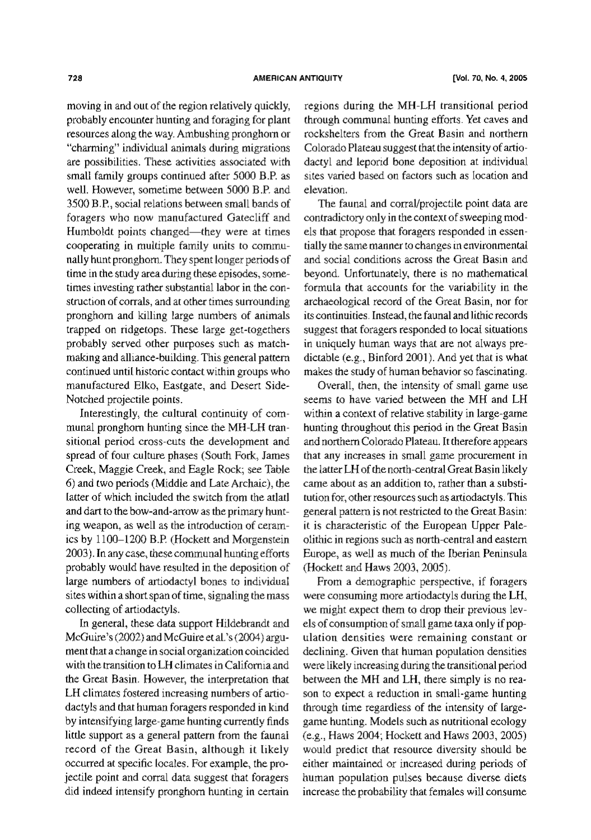moving in and out of the region relatively quickly, probably encounter hunting and foraging for plant resources along the way. Ambushing pronghorn or "charming" individual animals during migrations are possibilities. These activities associated with small family groups continued after 5000 B.P. as well. However, sometime between 5000 B.P. and 3500 B.P., social relations between small bands of foragers who now manufactured Gatecliff and Humboldt points changed—they were at times cooperating in multiple family units to communally hunt pronghorn. They spent longer periods of time in the study area during these episodes, sometimes investing rather substantial labor in the construction of corrals, and at other times surrounding pronghorn and killing large numbers of animals trapped on ridgetops. These large get-togethers probably served other purposes such as matchmaking and alliance-building. This general pattern continued until historic contact within groups who manufactured Elko, Eastgate, and Desert Side-Notched projectile points.

Interestingly, the cultural continuity of communal pronghorn hunting since the MH-LH transitional period cross-cuts the development and spread of four culture phases (South Fork, James Creek, Maggie Creek, and Eagle Rock; see Table 6) and two periods (Middle and Late Archaic), the latter of which included the switch from the atlatl and dart to the bow-and-arrow as the primary hunting weapon, as well as the introduction of ceramics by 1100-1200 B.P. (Hockett and Morgenstein 2003). In any case, these communal hunting efforts probably would have resulted in the deposition of large numbers of artiodactyl bones to individual sites within a short span of time, signaling the mass collecting of artiodactyls.

In general, these data support Hildebrandt and McGuire's (2002) and McGuire et al.'s (2004) argument that a change in social organization coincided with the transition to LH climates in California and the Great Basin. However, the interpretation that LH climates fostered increasing numbers of artiodactyls and that human foragers responded in kind by intensifying large-game hunting currently finds little support as a general pattern from the faunal record of the Great Basin, although it likely occurred at specific locales. For example, the projectile point and corral data suggest that foragers did indeed intensify pronghorn hunting in certain

regions during the MH-LH transitional period through communal hunting efforts. Yet caves and rockshelters from the Great Basin and northern Colorado Plateau suggest that the intensity of artiodactyl and leporid bone deposition at individual sites varied based on factors such as location and elevation.

The faunal and corral/projectile point data are contradictory only in the context of sweeping models that propose that foragers responded in essentially the same manner to changes in environmental and social conditions across the Great Basin and beyond. Unfortunately, there is no mathematical formula that accounts for the variability in the archaeological record of the Great Basin, nor for its continuities. Instead, the faunal and lithic records suggest that foragers responded to local situations in uniquely human ways that are not always predictable (e.g., Binford 2001). And yet that is what makes the study of human behavior so fascinating.

Overall, then, the intensity of small game use seems to have varied between the MH and LH within a context of relative stability in large-game hunting throughout this period in the Great Basin and northern Colorado Plateau. It therefore appears that any increases in small game procurement in the latter LH of the north-central Great Basin likely came about as an addition to, rather than a substitution for, other resources such as artiodactyls. This general pattern is not restricted to the Great Basin: it is characteristic of the European Upper Paleolithic in regions such as north-central and eastern Europe, as well as much of the Iberian Peninsula (Hockett and Haws 2003, 2005).

From a demographic perspective, if foragers were consuming more artiodactyls during the LH, we might expect them to drop their previous levels of consumption of small game taxa only if population densities were remaining constant or declining. Given that human population densities were likely increasing during the transitional period between the MH and LH, there simply is no reason to expect a reduction in small-game hunting through time regardless of the intensity of largegame hunting. Models such as nutritional ecology (e.g., Haws 2004; Hockett and Haws 2003, 2005) would predict that resource diversity should be either maintained or increased during periods of human population pulses because diverse diets increase the probability that females will consume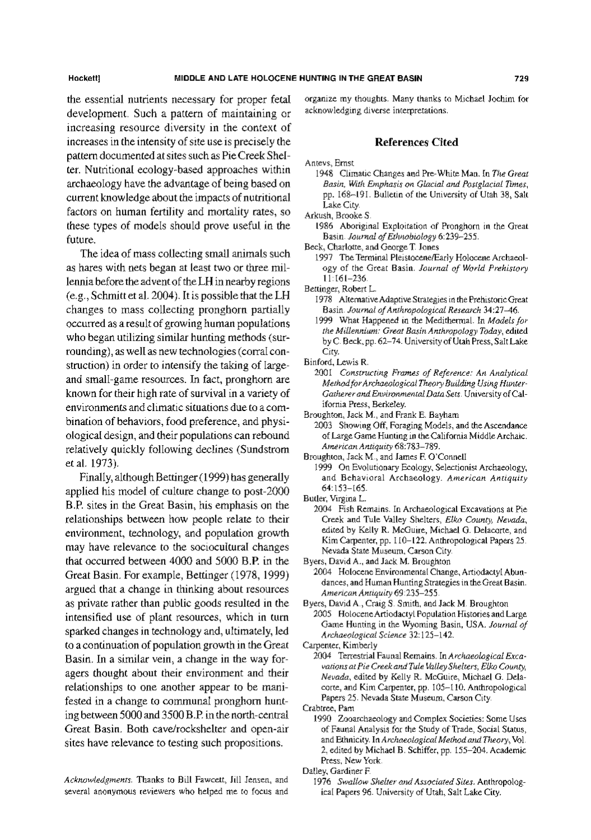the essential nutrients necessary for proper fetal development. Such a pattern of maintaining or increasing resource diversity in the context of increases in the intensity of site use is precisely the pattern documented at sites such as Pie Creek Shelter. Nutritional ecology-based approaches within archaeology have the advantage of being based on current knowledge about the impacts of nutritional factors on human fertility and mortality rates, so these types of models should prove useful in the future.

The idea of mass collecting small animals such as hares with nets began at least two or three millennia before the advent of the LH in nearby regions (e.g., Schmitt et al. 2004). It is possible that the LH changes to mass collecting pronghorn partially occurred as a result of growing human populations who began utilizing similar hunting methods (surrounding), as well as new technologies (corral construction) in order to intensify the taking of largeand small-game resources. In fact, pronghorn are known for their high rate of survival in a variety of environments and climatic situations due to a combination of behaviors, food preference, and physiological design, and their populations can rebound relatively quickly following declines (Sundstrom et al. 1973).

Finally, although Bettinger (1999) has generally applied his model of culture change to post-2000 B.P. sites in the Great Basin, his emphasis on the relationships between how people relate to their environment, technology, and population growth may have relevance to the sociocultural changes that occurred between 4000 and 5000 B.P. in the Great Basin. For example, Bettinger (1978, 1999). argued that a change in thinking about resources as private rather than public goods resulted in the intensified use of plant resources, which in turn sparked changes in technology and, ultimately, led to a continuation of population growth in the Great Basin. In a similar vein, a change in the way foragers thought about their environment and their relationships to one another appear to be manifested in a change to communal pronghom hunting between 5000 and 3500 B.P. in the north-central Great Basin. Both cave/rockshelter and open-air sites have relevance to testing such propositions.

Acknowledgments. Thanks to Bill Fawcett, Jill Jensen, and several anonymous reviewers who helped me to focus and organize my thoughts. Many thanks to Michael Jochim for acknowledging diverse interpretations.

#### **References Cited**

| Antevs, Ernsi |  |
|---------------|--|
|---------------|--|

1948 Climatic Changes and Pre-White Man. In The Great Basin, With Emphasis on Glacial and Postglacial Times, pp. 168-191. Bulletin of the University of Utah 38, Salt Lake City.

Arkush, Brooke S.

1986 Aboriginal Exploitation of Pronghorn in the Great Basin. Journal of Ethnobiology 6:239-255.

Beck, Charlotte, and George T. Jones

1997 The Terminal Pleistocene/Early Holocene Archaeology of the Great Basin. Journal of World Prehistory  $11:161 - 236.$ 

Bettinger, Robert L.

- 1978 Alternative Adaptive Strategies in the Prehistoric Great Basin. Journal of Anthropological Research 34:27-46.
- 1999 What Happened in the Medithermal. In Models for the Millennium: Great Basin Anthropology Today, edited by C. Beck, pp. 62-74. University of Utah Press, Salt Lake City.
- Binford, Lewis R.
	- 2001 Constructing Frames of Reference: An Analytical Method for Archaeological Theory Building Using Hunter-Gatherer and Environmental Data Sets. University of California Press, Berkeley.
- Broughton, Jack M., and Frank E. Bayham

2003 Showing Off, Foraging Models, and the Ascendance of Large Game Hunting in the California Middle Archaic. American Antiquity 68:783-789.

- Broughton, Jack M., and James F. O'Connell
	- 1999 On Evolutionary Ecology, Selectionist Archaeology, and Behavioral Archaeology. American Antiquity  $64:153 - 165.$
- Butler, Virgina L.
- 2004 Fish Remains. In Archaeological Excavations at Pie-Creek and Tule Valley Shelters, Elko County, Nevada, edited by Kelly R. McGuire, Michael G. Delacorte, and Kim Carpenter, pp. 110-122. Anthropological Papers 25. Nevada State Museum, Carson City.

Byers, David A., and Jack M. Broughton

- 2004 Holocene Environmental Change, Artiodactyl Abundances, and Human Hunting Strategies in the Great Basin. American Antiquity 69:235-255.
- Byers, David A., Craig S. Smith, and Jack M. Broughton 2005 Holocene Artiodactyl Population Histories and Large Game Hunting in the Wyoming Basin, USA. Journal of Archaeological Science 32:125-142.

Carpenter, Kimberly

2004 Terrestrial Faunal Remains. In Archaeological Excavations at Pie Creek and Tule Valley Shelters, Elko County, Nevada, edited by Kelly R. McGuire, Michael G. Delacorte, and Kim Carpenter, pp. 105-110. Anthropological Papers 25. Nevada State Museum, Carson City.

Crabtree, Pam

1990 Zooarchaeology and Complex Societies: Some Uses of Faunal Analysis for the Study of Trade, Social Status, and Ethnicity. In Archaeological Method and Theory, Vol. 2, edited by Michael B. Schiffer, pp. 155-204. Academic Press, New York.

Dalley, Gardiner F.

<sup>1976</sup> Swallow Shelter and Associated Sites. Anthropological Papers 96. University of Utah, Salt Lake City.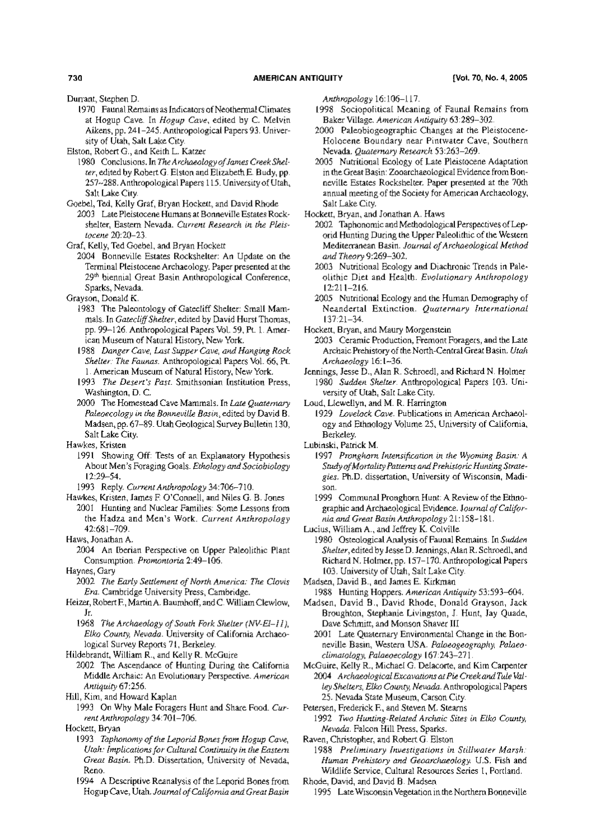Durrant, Stephen D.

1970 Faunal Remains as Indicators of Neothermal Climates at Hogup Cave. In Hogup Cave, edited by C. Melvin Aikens, pp. 241-245. Anthropological Papers 93. University of Utah, Salt Lake City.

Elston, Robert G., and Keith L. Katzer

- 1980 Conclusions. In The Archaeology of James Creek Shelter, edited by Robert G. Elston and Elizabeth E. Budy, pp. 257~288. Anthropological Papers 115. University of Utah, Salt Lake City.
- Goebel, Ted, Kelly Graf, Bryan Hockett, and David Rhode
- 2003 Late Pleistocene Humans at Bonneville Estates Rockshelter, Eastern Nevada. Current Research in the Pleistocene 20:20-23.
- Graf, Kelly, Ted Goebel, and Bryan Hockett
	- 2004 Bonneville Estates Rockshelter: An Update on the Terminal Pleistocene Archaeology. Paper presented at the 29th biennial Great Basin Anthropological Conference, Sparks, Nevada.
- Grayson, Donald K.
	- 1983 The Paleontology of Gatecliff Shelter: Small Mammals. In Gatecliff Shelter, edited by David Hurst Thomas, pp. 99-126. Anthropological Papers Vol. 59, Pt. 1. American Museum of Natural History, New York.
	- 1988 Danger Cave, Last Supper Cave, and Hanging Rock Shelter: The Faunas. Anthropological Papers Vol. 66, Pt. 1. American Museum of Natural History, New York.
	- 1993 The Desert's Past. Smithsonian Institution Press, Washington, D. C.
	- 2000 The Homestead Cave Mammals. In Late Quaternary Paleoecology in the Bonneville Basin, edited by David B. Madsen, pp. 67-89. Utah Geological Survey Bulletin 130, Salt Lake City.

Hawkes, Kristen

- 1991 Showing Off: Tests of an Explanatory Hypothesis About Men's Foraging Goals. Ethology and Sociobiology  $12:29 - 54.$
- 1993 Reply. Current Anthropology 34:706-710.
- Hawkes, Kristen, James F. O'Connell, and Niles G. B. Jones 2001 Hunting and Nuclear Families: Some Lessons from the Hadza and Men's Work. Current Anthropology 42:681-709.
- Haws, Jonathan A.
	- 2004 An Iberian Perspective on Upper Paleolithic Plant Consumption. Promontoria 2:49-106.
- Haynes, Gary
	- 2002 The Early Settlement of North America: The Clovis Era. Cambridge University Press, Cambridge.
- Heizer, Robert F., Martin A. Baumhoff, and C. William Clewlow, Jr.
	- 1968 The Archaeology of South Fork Shelter (NV-El-11), Elko County, Nevada. University of California Archaeological Survey Reports 71, Berkeley.

Hildebrandt, William R., and Kelly R. McGuire

- 2002 The Ascendance of Hunting During the California Middle Archaic: An Evolutionary Perspective. American Antiquity 67:256.
- Hill, Kim, and Howard Kaplan
	- 1993 On Why Male Foragers Hunt and Share Food. Current Anthropology 34:701-706.

Hockett, Bryan

- 1993 Taphonomy of the Leporid Bones from Hogup Cave, Utah: Implications for Cultural Continuity in the Eastern Great Basin. Ph.D. Dissertation, University of Nevada, Reno.
- 1994 A Descriptive Reanalysis of the Leporid Bones from Hogup Cave, Utah. Journal of California and Great Basin

Anthropology 16:106-117.

- 1998 Sociopolitical Meaning of Faunal Remains from Baker Village. American Antiquity 63:289-302.
- 2000 Paleobiogeographic Changes at the Pleistocene-Holocene Boundary near Pintwater Cave, Southern Nevada. Quaternary Research 53:263-269.
- 2005 Nutritional Ecology of Late Pleistocene Adaptation in the Great Basin: Zooarchaeological Evidence from Bonneville Estates Rockshelter. Paper presented at the 70th annual meeting of the Society for American Archaeology, Salt Lake City.

Hockett, Bryan, and Jonathan A. Haws

- 2002 Taphonomic and Methodological Perspectives of Leporid Hunting During the Upper Paleolithic of the Western Mediterranean Basin. Journal of Archaeological Method and Theory 9:269-302.
- 2003 Nutritional Ecology and Diachronic Trends in Paleolithic Diet and Health. Evolutionary Anthropology  $12:211 - 216.$
- 2005 Nutritional Ecology and the Human Demography of Neandertal Extinction. Quaternary International  $137:21 - 34$ .

Hockett, Bryan, and Maury Morgenstein

- 2003 Ceramic Production, Fremont Foragers, and the Late Archaic Prehistory of the North-Central Great Basin. Utah Archaeology 16:1-36.
- Jennings, Jesse D., Alan R. Schroedl, and Richard N. Holmer 1980 Sudden Shelter. Anthropological Papers 103. University of Utah, Salt Lake City.

Loud, Llewellyn, and M. R. Harrington

- 1929 Lovelock Cave. Publications in American Archaeology and Ethnology Volume 25, University of California, Berkelev.
- Lubinski, Patrick M.
	- 1997 Pronghorn Intensification in the Wyoming Basin: A Study of Mortality Patterns and Prehistoric Hunting Strategies. Ph.D. dissertation, University of Wisconsin, Madison.
	- 1999 Communal Pronghorn Hunt: A Review of the Ethnographic and Archaeological Evidence. Journal of California and Great Basin Anthropology 21:158-181.

Lucius, William A., and Jeffrey K. Colville

1980 Osteological Analysis of Faunal Remains. In Sudden Shelter, edited by Jesse D. Jennings, Alan R. Schroedl, and Richard N. Holmer, pp. 157-170. Anthropological Papers 103. University of Utah, Salt Lake City.

Madsen, David B., and James E. Kirkman

- 1988 Hunting Hoppers. American Antiquity 53:593-604.
- Madsen, David B., David Rhode, Donald Grayson, Jack Broughton, Stephanie Livingston, J. Hunt, Jay Quade, Dave Schmitt, and Monson Shaver III
- 2001 Late Quaternary Environmental Change in the Bonneville Basin, Western USA. Palaeogeography. Palaeoclimatology, Palaeoecology 167:243-271
- McGuire, Kelly R., Michael G. Delacorte, and Kim Carpenter 2004 Archaeological Excavations at Pie Creek and Tule Valley Shelters, Elko County, Nevada. Anthropological Papers 25. Nevada State Museum, Carson City.

Petersen, Frederick F., and Steven M. Stearns

1992 Two Hunting-Related Archaic Sites in Elko County, Nevada. Falcon Hill Press, Sparks.

Raven, Christopher, and Robert G. Elston 1988 Preliminary Investigations in Stillwater Marsh:

- Human Prehistory and Geoarchaeology. U.S. Fish and Wildlife Service, Cultural Resources Series 1, Portland.
- Rhode, David, and David B. Madsen
	- 1995 Late Wisconsin Vegetation in the Northern Bonneville

730